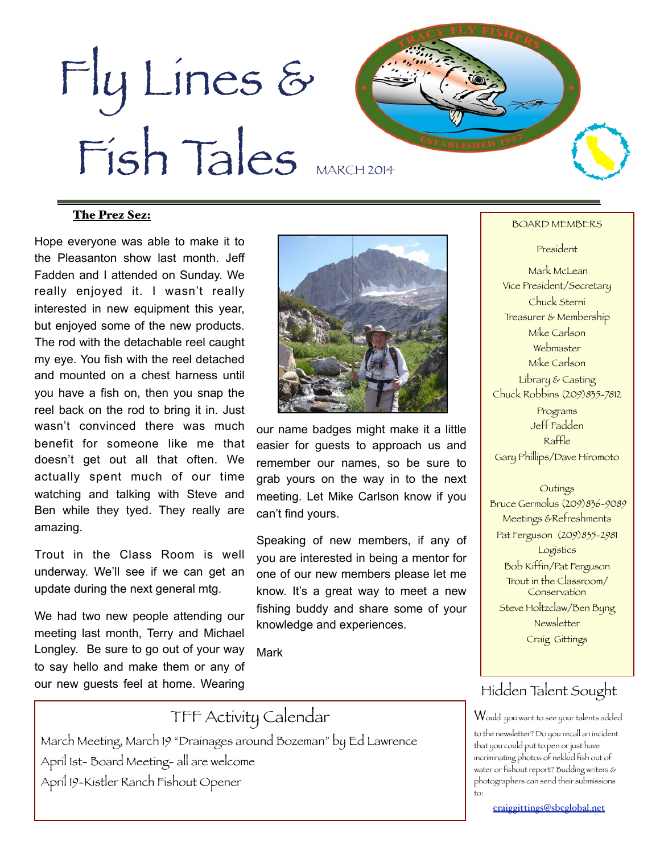Fly Lines & Fish Tales MARCH 2014



#### The Prez Sez:

Hope everyone was able to make it to the Pleasanton show last month. Jeff Fadden and I attended on Sunday. We really enjoyed it. I wasn't really interested in new equipment this year, but enjoyed some of the new products. The rod with the detachable reel caught my eye. You fish with the reel detached and mounted on a chest harness until you have a fish on, then you snap the reel back on the rod to bring it in. Just wasn't convinced there was much benefit for someone like me that doesn't get out all that often. We actually spent much of our time watching and talking with Steve and Ben while they tyed. They really are amazing.

Trout in the Class Room is well underway. We'll see if we can get an update during the next general mtg.

We had two new people attending our meeting last month, Terry and Michael Longley. Be sure to go out of your way to say hello and make them or any of our new guests feel at home. Wearing

April 1st- Board Meeting- all are welcome April 19-Kistler Ranch Fishout Opener



our name badges might make it a little easier for guests to approach us and remember our names, so be sure to grab yours on the way in to the next meeting. Let Mike Carlson know if you can't find yours.

Speaking of new members, if any of you are interested in being a mentor for one of our new members please let me know. It's a great way to meet a new fishing buddy and share some of your knowledge and experiences.

Mark

TFF Activity Calendar

March Meeting, March 19 "Drainages around Bozeman" by Ed Lawrence

#### BOARD MEMBERS

#### President

Mark McLean Vice President/Secretary Chuck Sterni Treasurer & Membership Mike Carlson Webmaster Mike Carlson Library & Casting Chuck Robbins (209)835-7812 Programs Jeff Fadden Raffle Gary Phillips/Dave Hiromoto

#### **Outings**  Bruce Germolus (209)836-9089 Meetings &Refreshments Pat Ferguson (209) 835-2981 Logistics Bob Kiffin/Pat Ferguson Trout in the Classroom/ Conservation Steve Holtzclaw/Ben Byng Newsletter

Craig Gittings

## Hidden Talent Sought

 $\operatorname{\mathsf{W}}$ ould you want to see your talents added

to the newsletter? Do you recall an incident that you could put to pen or just have incriminating photos of nekkid fish out of water or fishout report? Budding writers & photographers can send their submissions to: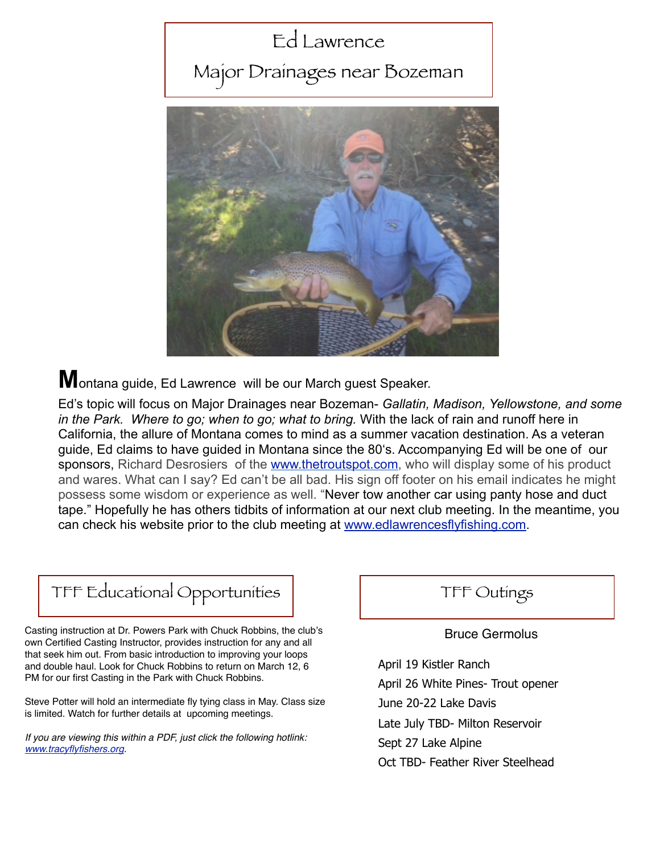# Ed Lawrence

# Major Drainages near Bozeman



**M**ontana guide, Ed Lawrence will be our March guest Speaker.

Ed's topic will focus on Major Drainages near Bozeman- *Gallatin, Madison, Yellowstone, and some in the Park. Where to go; when to go; what to bring.* With the lack of rain and runoff here in California, the allure of Montana comes to mind as a summer vacation destination. As a veteran guide, Ed claims to have guided in Montana since the 80's. Accompanying Ed will be one of our sponsors, Richard Desrosiers of the [www.thetroutspot.com,](http://www.thetroutspot.com/) who will display some of his product and wares. What can I say? Ed can't be all bad. His sign off footer on his email indicates he might possess some wisdom or experience as well. "Never tow another car using panty hose and duct tape." Hopefully he has others tidbits of information at our next club meeting. In the meantime, you can check his website prior to the club meeting at [www.edlawrencesflyfishing.com.](http://www.edlawrencesflyfishing.com)

# TFF Educational Opportunities | TFF Outings

Casting instruction at Dr. Powers Park with Chuck Robbins, the club's own Certified Casting Instructor, provides instruction for any and all that seek him out. From basic introduction to improving your loops and double haul. Look for Chuck Robbins to return on March 12, 6 PM for our first Casting in the Park with Chuck Robbins.

Steve Potter will hold an intermediate fly tying class in May. Class size is limited. Watch for further details at upcoming meetings.

*If you are viewing this within a PDF, just click the following hotlink: [www.tracyflyfishers.org.](http://www.tracyflyfishers.org)*

#### Bruce Germolus

April 19 Kistler Ranch April 26 White Pines- Trout opener June 20-22 Lake Davis Late July TBD- Milton Reservoir Sept 27 Lake Alpine Oct TBD- Feather River Steelhead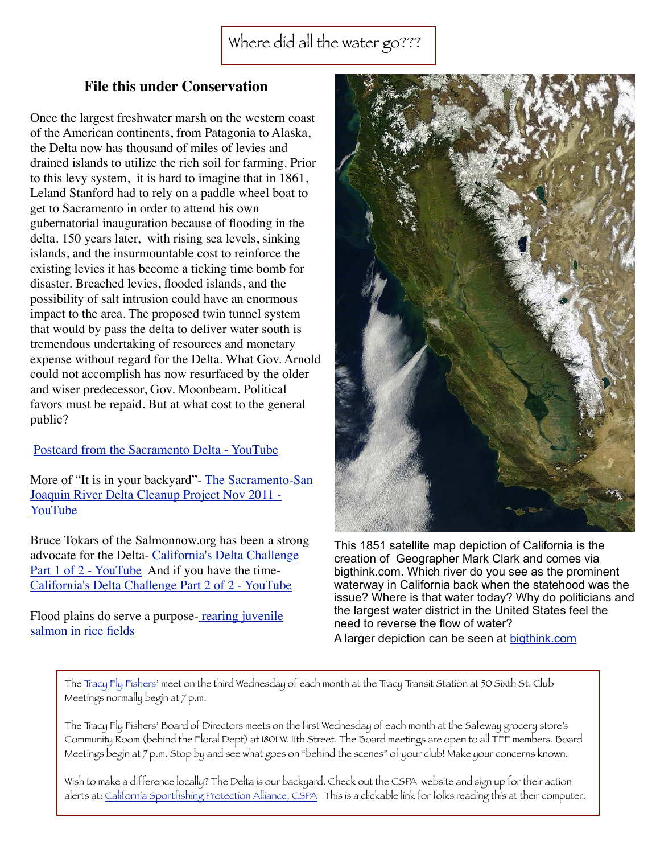### **File this under Conservation**

Once the largest freshwater marsh on the western coast of the American continents, from Patagonia to Alaska, the Delta now has thousand of miles of levies and drained islands to utilize the rich soil for farming. Prior to this levy system, it is hard to imagine that in 1861, Leland Stanford had to rely on a paddle wheel boat to get to Sacramento in order to attend his own gubernatorial inauguration because of flooding in the delta. 150 years later, with rising sea levels, sinking islands, and the insurmountable cost to reinforce the existing levies it has become a ticking time bomb for disaster. Breached levies, flooded islands, and the possibility of salt intrusion could have an enormous impact to the area. The proposed twin tunnel system that would by pass the delta to deliver water south is tremendous undertaking of resources and monetary expense without regard for the Delta. What Gov. Arnold could not accomplish has now resurfaced by the older and wiser predecessor, Gov. Moonbeam. Political favors must be repaid. But at what cost to the general public?

#### Postcard from the Sacramento Delta - YouTube

More of "It is in your backyard" - The Sacramento-San Joaquin River Delta Cleanup Project Nov 2011 - YouTube

Bruce Tokars of the Salmonnow.org has been a strong advocate for the Delta- California's Delta Challenge Part 1 of 2 - YouTube And if you have the time-California's Delta Challenge Part 2 of 2 - YouTube

#### Flood plains do serve a purpose-rearing juvenile salmon in rice fields



This 1851 satellite map depiction of California is the creation of Geographer Mark Clark and comes via bigthink.com. Which river do you see as the prominent waterway in California back when the statehood was the issue? Where is that water today? Why do politicians and the largest water district in the United States feel the need to reverse the flow of water? A larger depiction can be seen at **bigthink.com** 

The [Tracy Fly Fishers'](http://www.tracyflyfishers.org) meet on the third Wednesday of each month at the Tracy Transit Station at 50 Sixth St. Club Meetings normally begin at 7 p.m.

The Tracy Fly Fishers' Board of Directors meets on the first Wednesday of each month at the Safeway grocery store's Community Room (behind the Floral Dept) at 1801 W. 11th Street. The Board meetings are open to all TFF members. Board Meetings begin at 7 p.m. Stop by and see what goes on "behind the scenes" of your club! Make your concerns known.

Wish to make a difference locally? The Delta is our backyard. Check out the CSPA website and sign up for their action alerts at: [California Sportfishing Protection Alliance, CSPA](http://www.calsport.org/) This is a clickable link for folks reading this at their computer.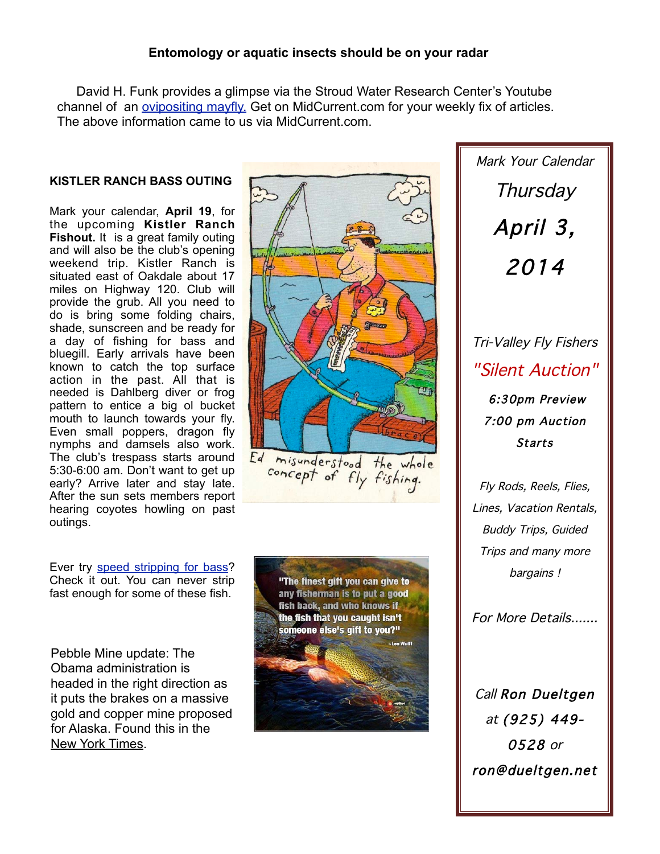#### **Entomology or aquatic insects should be on your radar**

David H. Funk provides a glimpse via the Stroud Water Research Center's Youtube channel of an [ovipositing mayfly.](http://www.theflyfishjournal.com/news/2014/02/20/cloeon-cognatum-ovoviviparous-ness) Get on MidCurrent.com for your weekly fix of articles. The above information came to us via MidCurrent.com.

#### **KISTLER RANCH BASS OUTING**

Mark your calendar, **April 19**, for the upcoming **Kistler Ranch Fishout.** It is a great family outing and will also be the club's opening weekend trip. Kistler Ranch is situated east of Oakdale about 17 miles on Highway 120. Club will provide the grub. All you need to do is bring some folding chairs, shade, sunscreen and be ready for a day of fishing for bass and bluegill. Early arrivals have been known to catch the top surface action in the past. All that is needed is Dahlberg diver or frog pattern to entice a big ol bucket mouth to launch towards your fly. Even small poppers, dragon fly nymphs and damsels also work. The club's trespass starts around 5:30-6:00 am. Don't want to get up early? Arrive later and stay late. After the sun sets members report hearing coyotes howling on past outings.

Ever try [speed stripping for bass?](http://www.youtube.com/watch?v=HDIGyozPnKI) Check it out. You can never strip fast enough for some of these fish.

Pebble Mine update: The Obama administration is headed in the right direction as it puts the brakes on a massive gold and copper mine proposed for Alaska. Found this in the [New York Times.](http://www.nytimes.com/2014/03/03/opinion/a-reprieve-for-bristol-bay.html)



Ed misunderstood the whole



Mark Your Calendar **Thursday** April 3, 2014

Tri-Valley Fly Fishers "Silent Auction" 6:30pm Preview 7:00 pm Auction Starts

Fly Rods, Reels, Flies, Lines, Vacation Rentals, Buddy Trips, Guided Trips and many more bargains !

For More Details.......

Call Ron Dueltgen at (925) 449- 0528 or ron@dueltgen.net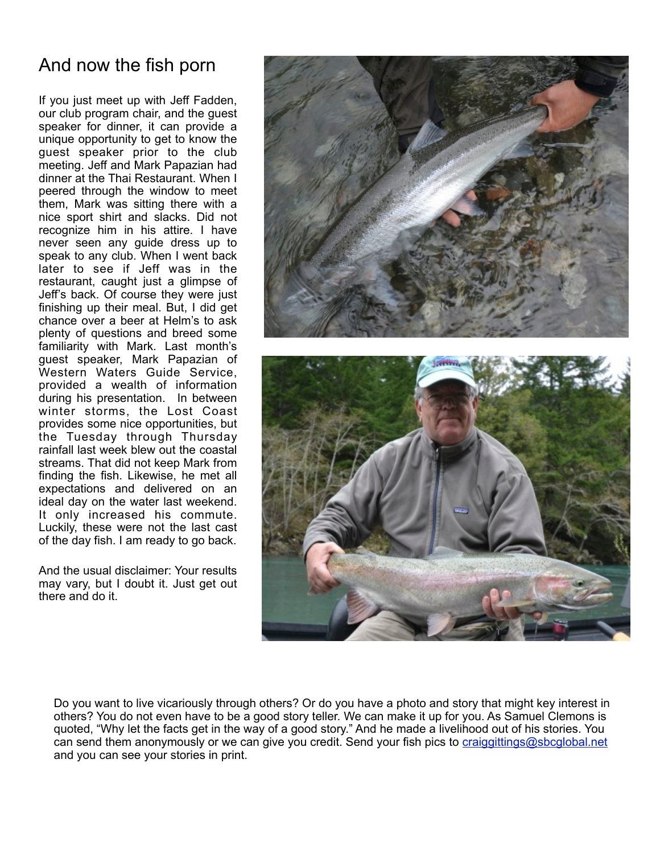## And now the fish porn

If you just meet up with Jeff Fadden, our club program chair, and the guest speaker for dinner, it can provide a unique opportunity to get to know the guest speaker prior to the club meeting. Jeff and Mark Papazian had dinner at the Thai Restaurant. When I peered through the window to meet them, Mark was sitting there with a nice sport shirt and slacks. Did not recognize him in his attire. I have never seen any guide dress up to speak to any club. When I went back later to see if Jeff was in the restaurant, caught just a glimpse of Jeff's back. Of course they were just finishing up their meal. But, I did get chance over a beer at Helm's to ask plenty of questions and breed some familiarity with Mark. Last month's guest speaker, Mark Papazian of Western Waters Guide Service, provided a wealth of information during his presentation. In between winter storms, the Lost Coast provides some nice opportunities, but the Tuesday through Thursday rainfall last week blew out the coastal streams. That did not keep Mark from finding the fish. Likewise, he met all expectations and delivered on an ideal day on the water last weekend. It only increased his commute. Luckily, these were not the last cast of the day fish. I am ready to go back.

And the usual disclaimer: Your results may vary, but I doubt it. Just get out there and do it.



Do you want to live vicariously through others? Or do you have a photo and story that might key interest in others? You do not even have to be a good story teller. We can make it up for you. As Samuel Clemons is quoted, "Why let the facts get in the way of a good story." And he made a livelihood out of his stories. You can send them anonymously or we can give you credit. Send your fish pics to [craiggittings@sbcglobal.net](mailto:craiggittings@sbcglobal.net) and you can see your stories in print.